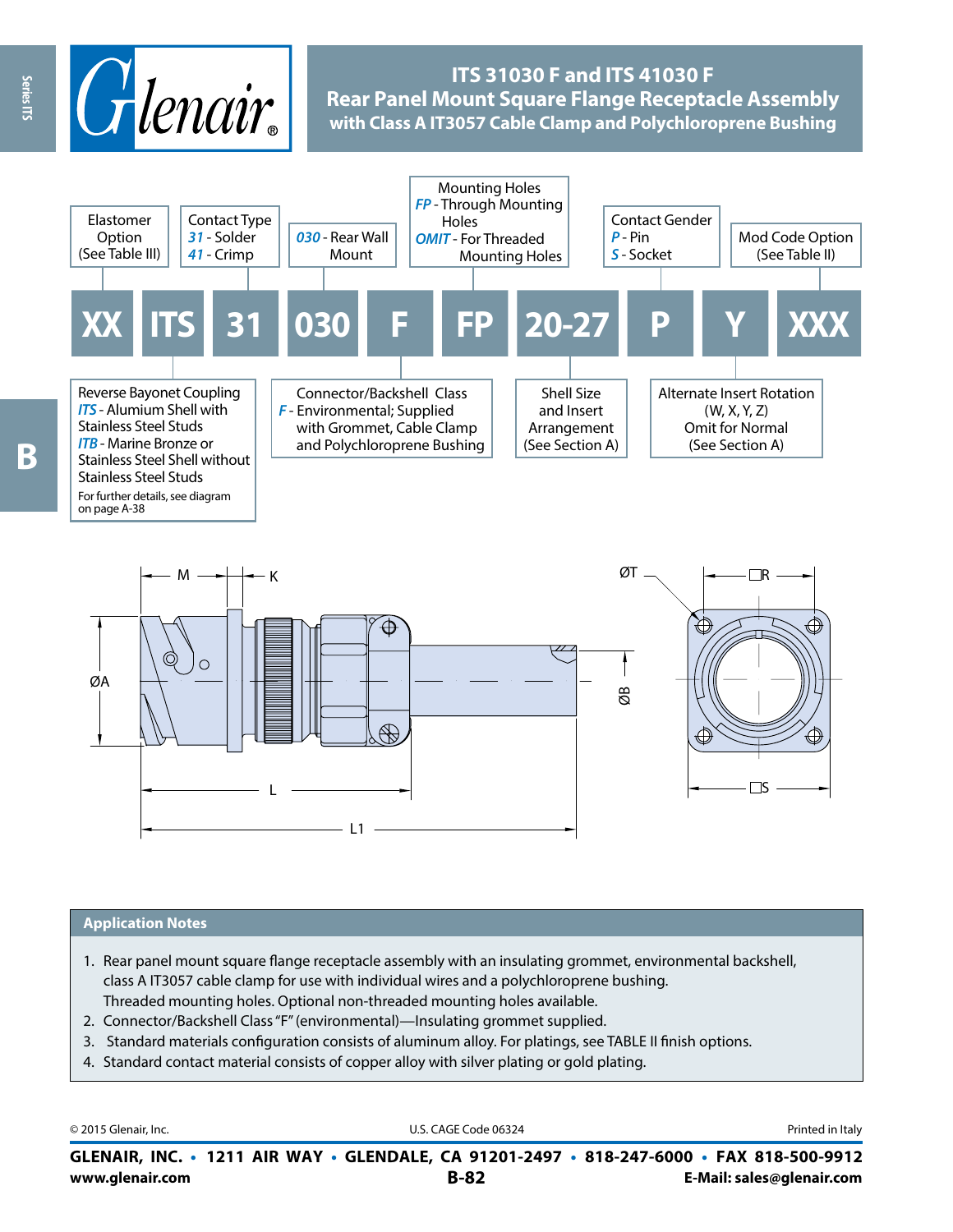

# **ITS 31030 F and ITS 41030 F Rear Panel Mount Square Flange Receptacle Assembly with Class A IT3057 Cable Clamp and Polychloroprene Bushing**





## **Application Notes**

- 1. Rear panel mount square flange receptacle assembly with an insulating grommet, environmental backshell, class A IT3057 cable clamp for use with individual wires and a polychloroprene bushing. Threaded mounting holes. Optional non-threaded mounting holes available.
- 
- 2. Connector/Backshell Class "F" (environmental)—Insulating grommet supplied.
- 3. Standard materials configuration consists of aluminum alloy. For platings, see TABLE II finish options.
- 4. Standard contact material consists of copper alloy with silver plating or gold plating.

| © 2015 Glenair, Inc. | U.S. CAGE Code 06324                                                                     | Printed in Italy          |
|----------------------|------------------------------------------------------------------------------------------|---------------------------|
|                      | GLENAIR, INC. • 1211 AIR WAY • GLENDALE, CA 91201-2497 • 818-247-6000 • FAX 818-500-9912 |                           |
| www.glenair.com      | $B-82$                                                                                   | E-Mail: sales@glenair.com |

Series ITS